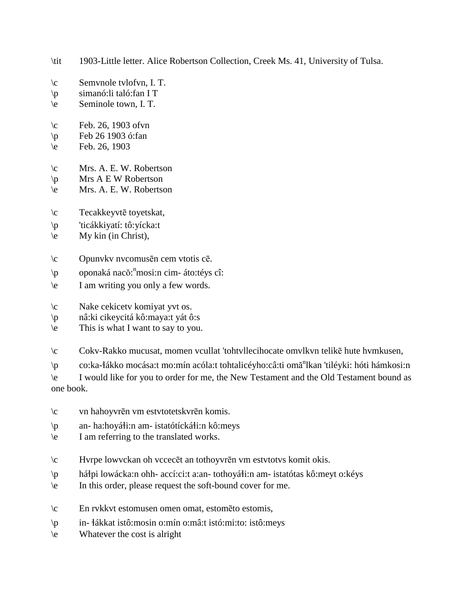- \tit 1903-Little letter. Alice Robertson Collection, Creek Ms. 41, University of Tulsa.
- \c Semvnole tvlofvn, I. T.
- \p simanó:li taló:fan I T
- \e Seminole town, I. T.
- \c Feb. 26, 1903 ofvn
- \p Feb 26 1903 ó:fan
- $\text{e}$  Feb. 26, 1903
- \c Mrs. A. E. W. Robertson
- \p Mrs A E W Robertson
- \e Mrs. A. E. W. Robertson
- \c Tecakkeyvtē toyetskat,
- \p 'ticákkiyatí: tô:yícka:t
- $\leq$  My kin (in Christ),
- \c Opunvkv nvcomusēn cem vtotis cē.
- \p oponaká nacŏ: n mosi:n cim- áto:téys cî:
- \e I am writing you only a few words.
- \c Nake cekicetv komiyat yvt os.
- \p nâ:ki cikeycitá kô:maya:t yát ô:s
- \e This is what I want to say to you.
- \c Cokv-Rakko mucusat, momen vcullat 'tohtvllecihocate omvlkvn telikē hute hvmkusen,
- \p co:ka-łákko mocása:t mo:mín acóla:t tohtalicéyho:câ:ti omă<sup>n</sup>lkan 'tiléyki: hóti hámkosi:n

\e I would like for you to order for me, the New Testament and the Old Testament bound as one book.

- \c vn hahoyvrēn vm estvtotetskvrēn komis.
- $\pi$  an- ha:hoyáti:n am- istatótícká ti:n kô:meys
- \e I am referring to the translated works.
- \c Hvrpe lowvckan oh vccecēt an tothoyvrēn vm estvtotvs komit okis.
- \p há!pi lowácka:n ohh- accí:ci:t a:an- tothoyá!i:n am- istatótas kô:meyt o:kéys
- \e In this order, please request the soft-bound cover for me.
- \c En rvkkvt estomusen omen omat, estomēto estomis,
- \p in- !ákkat istô:mosin o:mín o:mâ:t istó:mi:to: istô:meys
- \e Whatever the cost is alright